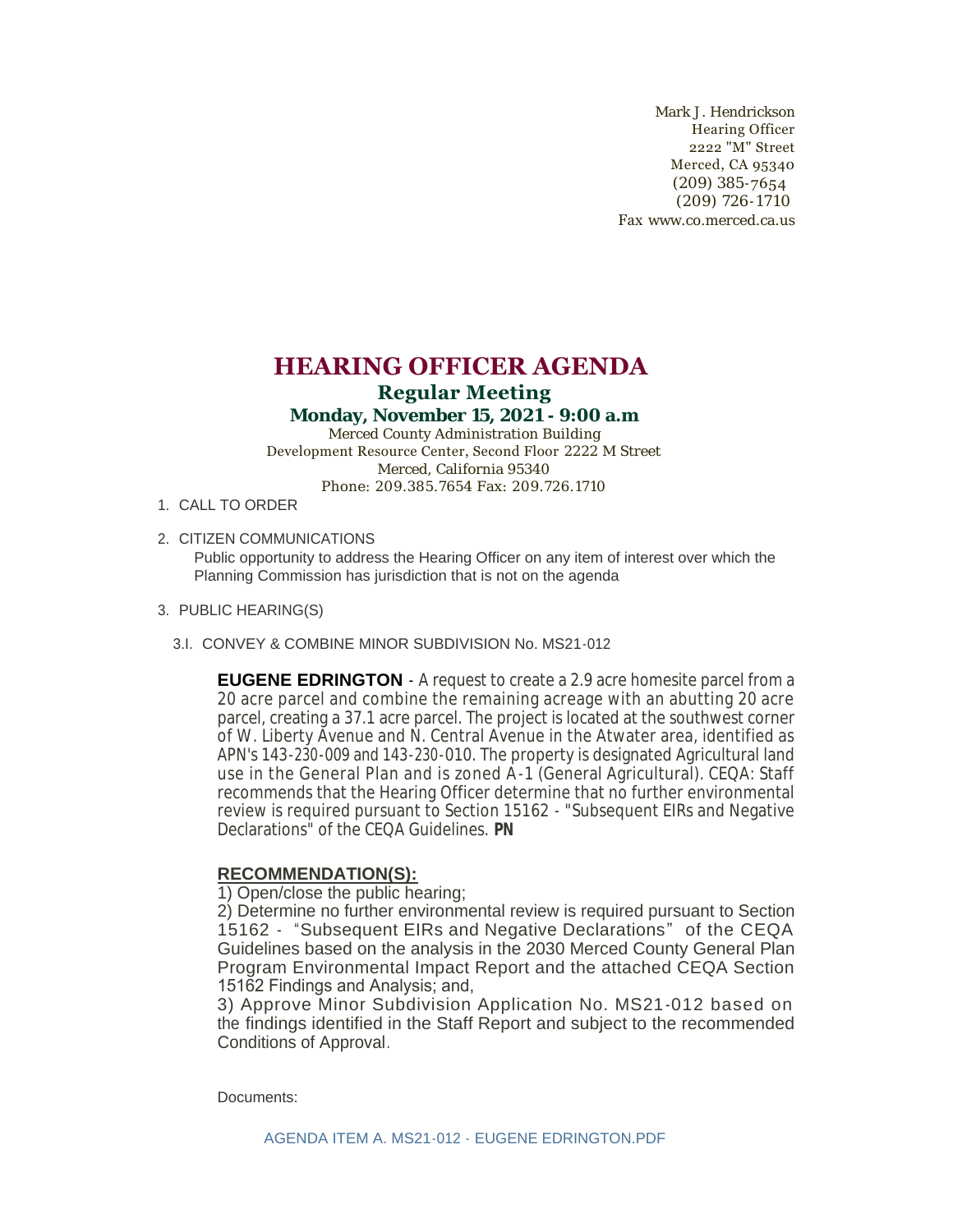Mark J. Hendrickson Hearing Officer 2222 "M" Street Merced, CA 95340 (209) 385-7654 (209) 726-1710 Fax www.co.merced.ca.us

## **HEARING OFFICER AGENDA Regular Meeting**

## **Monday, November 15, 2021 - 9:00 a.m**

Merced County Administration Building Development Resource Center, Second Floor 2222 M Street Merced, California 95340 Phone: 209.385.7654 Fax: 209.726.1710

- 1. CALL TO ORDER
- 2. CITIZEN COMMUNICATIONS

Public opportunity to address the Hearing Officer on any item of interest over which the Planning Commission has jurisdiction that is not on the agenda

- PUBLIC HEARING(S) 3.
	- CONVEY & COMBINE MINOR SUBDIVISION No. MS21-012 3.I.

**EUGENE EDRINGTON** - A request to create a 2.9 acre homesite parcel from a 20 acre parcel and combine the remaining acreage with an abutting 20 acre parcel, creating a 37.1 acre parcel. The project is located at the southwest corner of W. Liberty Avenue and N. Central Avenue in the Atwater area, identified as APN's 143-230-009 and 143-230-010. The property is designated Agricultural land use in the General Plan and is zoned A-1 (General Agricultural). CEQA: Staff recommends that the Hearing Officer determine that no further environmental review is required pursuant to Section 15162 - "Subsequent EIRs and Negative Declarations" of the CEQA Guidelines. **PN**

## **RECOMMENDATION(S):**

1) Open/close the public hearing;

2) Determine no further environmental review is required pursuant to Section 15162 - "Subsequent EIRs and Negative Declarations" of the CEQA Guidelines based on the analysis in the 2030 Merced County General Plan Program Environmental Impact Report and the attached CEQA Section 15162 Findings and Analysis; and,

3) Approve Minor Subdivision Application No. MS21-012 based on the findings identified in the Staff Report and subject to the recommended Conditions of Approval.

Documents: